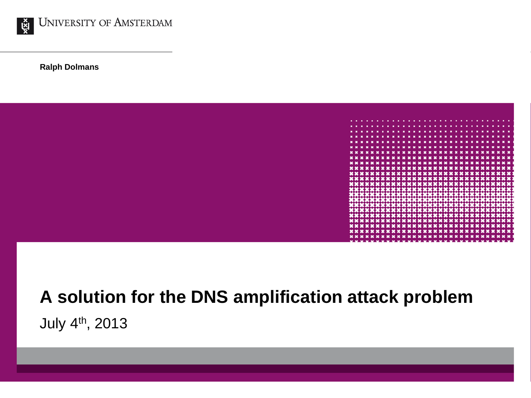

**Ralph Dolmans**



#### **A solution for the DNS amplification attack problem** July 4th, 2013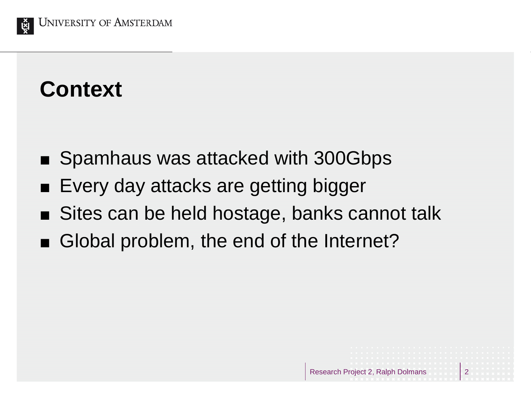

#### **Context**

- Spamhaus was attacked with 300Gbps
- Every day attacks are getting bigger
- Sites can be held hostage, banks cannot talk
- Global problem, the end of the Internet?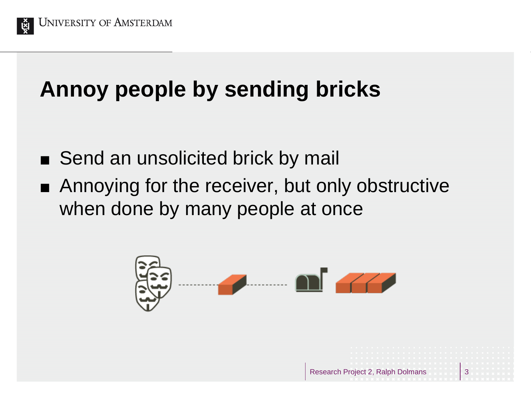

### **Annoy people by sending bricks**

- Send an unsolicited brick by mail
- Annoying for the receiver, but only obstructive when done by many people at once

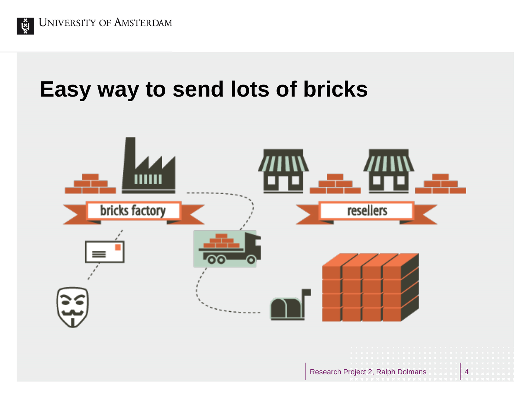

#### **Easy way to send lots of bricks**

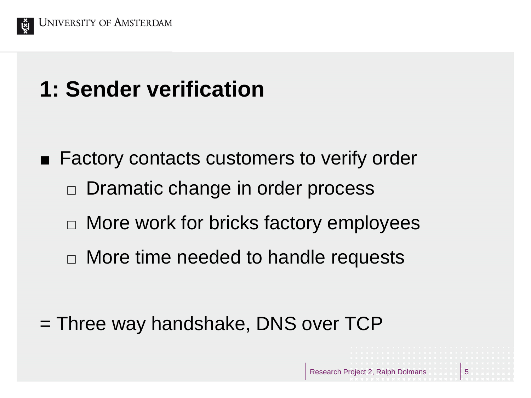

## **1: Sender verification**

- Factory contacts customers to verify order □ Dramatic change in order process
	- $\Box$  More work for bricks factory employees
	- $\Box$  More time needed to handle requests

= Three way handshake, DNS over TCP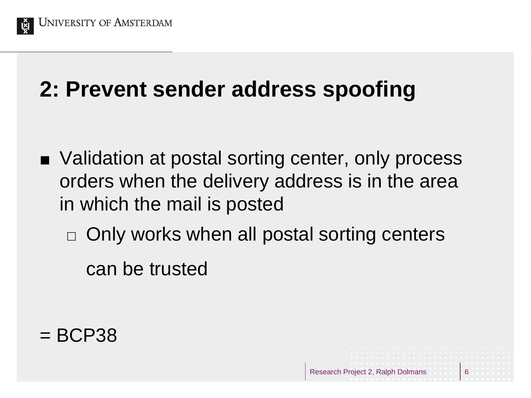

## **2: Prevent sender address spoofing**

- Validation at postal sorting center, only process orders when the delivery address is in the area in which the mail is posted
	- $\Box$  Only works when all postal sorting centers

can be trusted

 $=$  BCP38

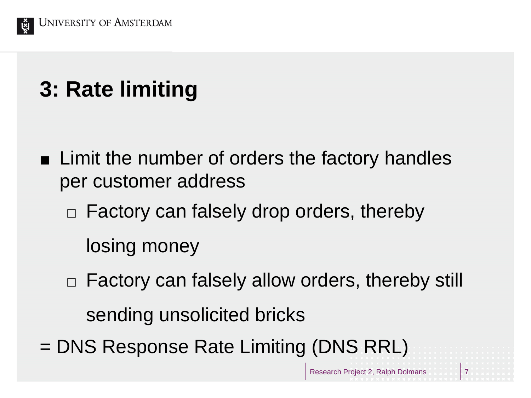

**3: Rate limiting**

- **Example 1** Limit the number of orders the factory handles per customer address
	- $\Box$  Factory can falsely drop orders, thereby

losing money

- □ Factory can falsely allow orders, thereby still sending unsolicited bricks
- = DNS Response Rate Limiting (DNS RRL)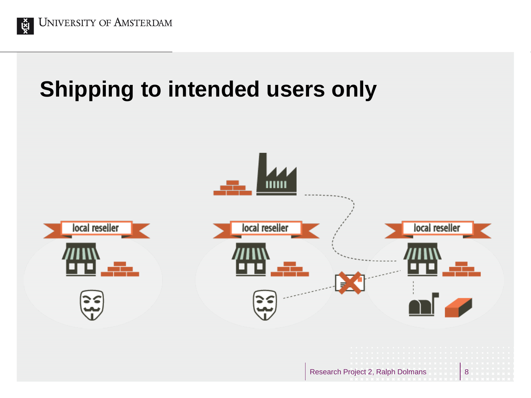

## **Shipping to intended users only**

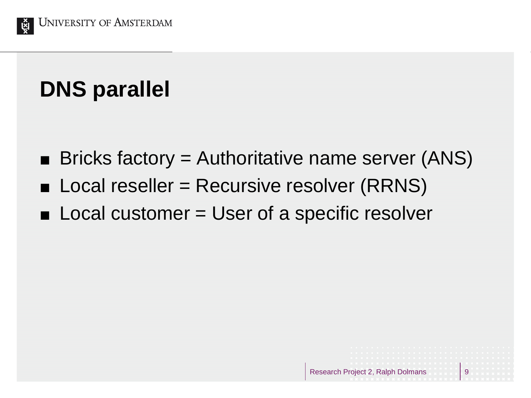

# **DNS parallel**

- $\blacksquare$  Bricks factory = Authoritative name server (ANS)
- $\blacksquare$  Local reseller = Recursive resolver (RRNS)
- Local customer = User of a specific resolver

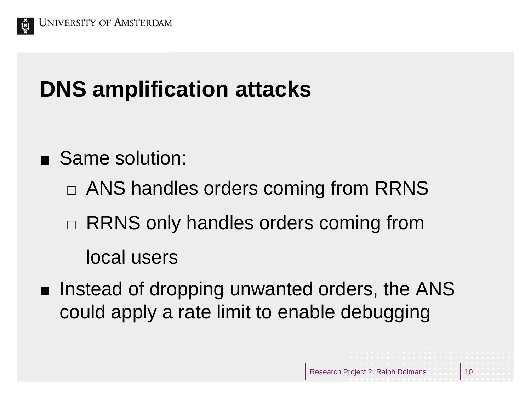

## **DNS amplification attacks**

- Same solution:
	- □ ANS handles orders coming from RRNS
	- $\Box$  RRNS only handles orders coming from local users
- Instead of dropping unwanted orders, the ANS could apply a rate limit to enable debugging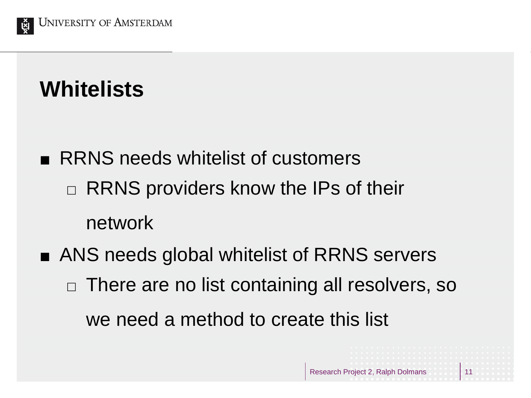

#### **Whitelists**

- **RRNS** needs whitelist of customers  $\Box$  RRNS providers know the IPs of their network
- ANS needs global whitelist of RRNS servers  $\Box$  There are no list containing all resolvers, so we need a method to create this list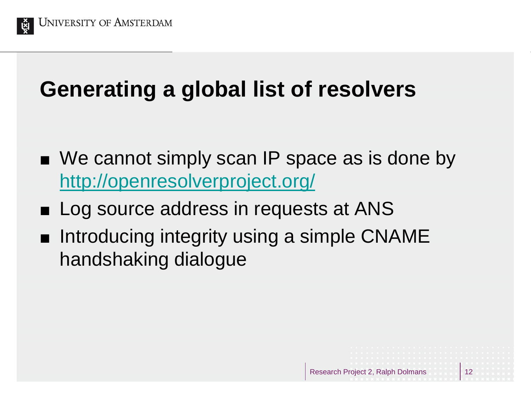

## **Generating a global list of resolvers**

- We cannot simply scan IP space as is done by <http://openresolverproject.org/>
- Log source address in requests at ANS
- Introducing integrity using a simple CNAME handshaking dialogue

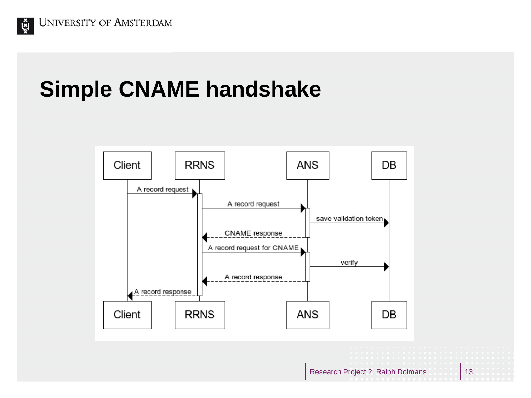

## **Simple CNAME handshake**

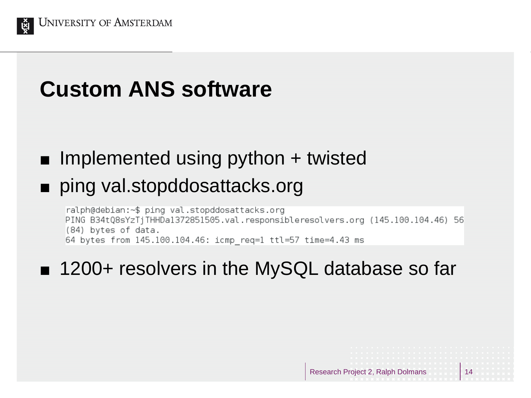

# **Custom ANS software**

#### $\blacksquare$  Implemented using python  $+$  twisted

#### ■ ping val.stopddosattacks.org

ralph@debian:~\$ ping val.stopddosattacks.org PING B34tQ8sYzTjTHHDa1372851505.val.responsibleresolvers.org (145.100.104.46) 56 (84) bytes of data. 64 bytes from 145.100.104.46: icmp req=1 ttl=57 time=4.43 ms

#### ■ 1200+ resolvers in the MySQL database so far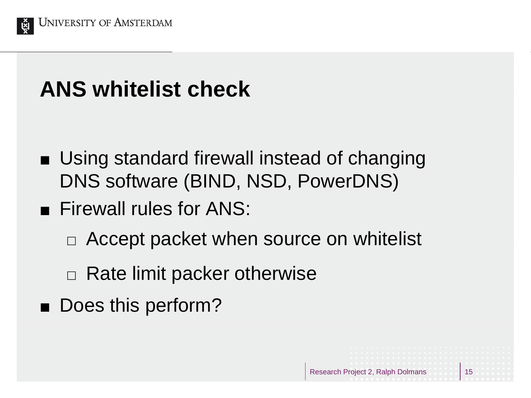

#### **ANS whitelist check**

- Using standard firewall instead of changing DNS software (BIND, NSD, PowerDNS)
- **Firewall rules for ANS:** 
	- □ Accept packet when source on whitelist

- $\Box$  Rate limit packer otherwise
- Does this perform?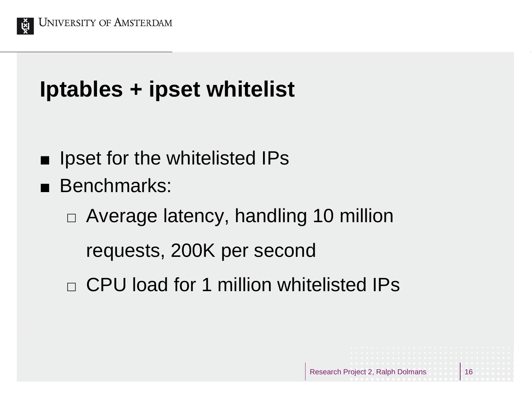

# **Iptables + ipset whitelist**

- **If** Ipset for the whitelisted IPs
- **Benchmarks:** 
	- $\Box$  Average latency, handling 10 million

requests, 200K per second

CPU load for 1 million whitelisted IPs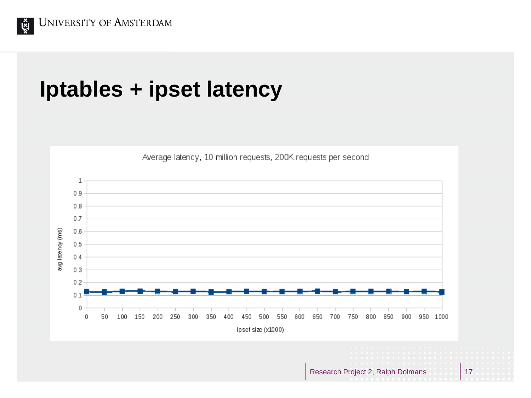

#### **Iptables + ipset latency**

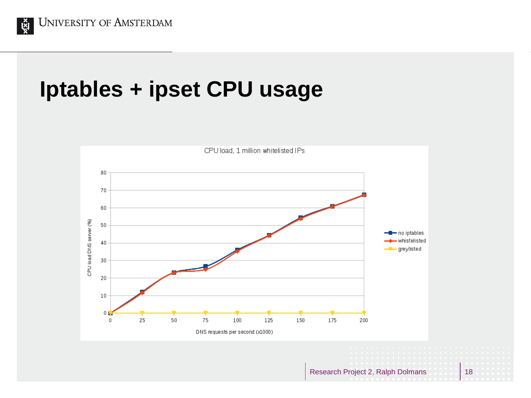

#### **Iptables + ipset CPU usage**

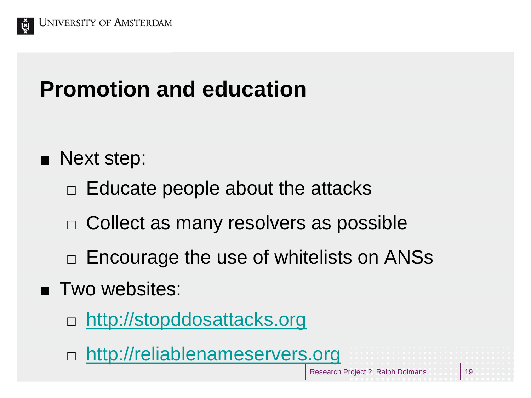

# **Promotion and education**

#### **Next step:**

- $\Box$  Educate people about the attacks
- $\Box$  Collect as many resolvers as possible
- $\Box$  Encourage the use of whitelists on ANSs
- **Two websites:** 
	- □ [http://stopddosattacks.org](http://stopddosattacks.org/)
	- □ [http://reliablenameservers.org](http://reliablenameservers.org/)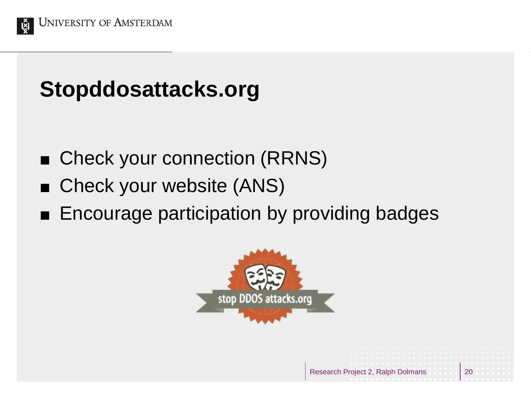

## **Stopddosattacks.org**

- Check your connection (RRNS)
- Check your website (ANS)
- **Encourage participation by providing badges**

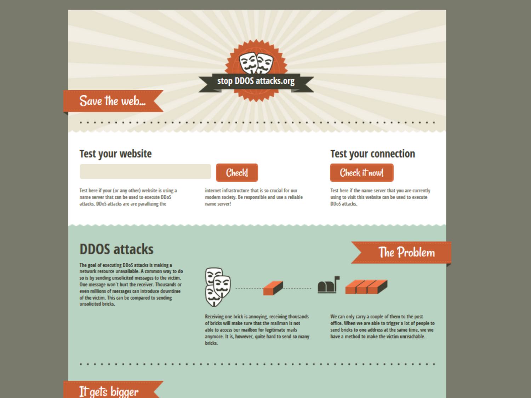

#### **Test your website**

Test here if your (or any other) website is using a name server that can be used to execute DDoS attacks. DDoS attacks are are parallizing the

#### Checkl

internet infrastructure that is so crucial for our modern society. Be responsible and use a reliable name server!

#### **Test your connection**

#### Check it now!

Test here if the name server that you are currently using to visit this website can be used to execute DDoS attacks.

The Problem

#### **DDOS** attacks

The goal of executing DDoS attacks is making a network resource unavailable. A common way to do so is by sending unsolicited messages to the victim. One message won't hurt the receiver. Thousands or even millions of messages can introduce downtime of the victim. This can be compared to sending unsolicited bricks.



Receiving one brick is annoying, receiving thousands of bricks will make sure that the mailman is not able to access our mailbox for legitimate mails anymore. It is, however, quite hard to send so many bricks.

We can only carry a couple of them to the post office. When we are able to trigger a lot of people to send bricks to one address at the same time, we we have a method to make the victim unreachable.

Research Project 2, Ralph Dolmans 21

#### It gets bigger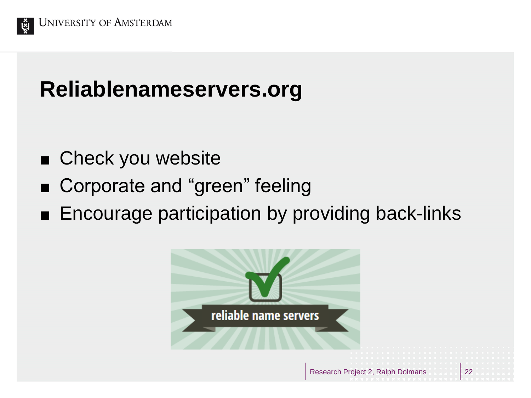

# **Reliablenameservers.org**

- Check you website
- Corporate and "green" feeling
- **Encourage participation by providing back-links**